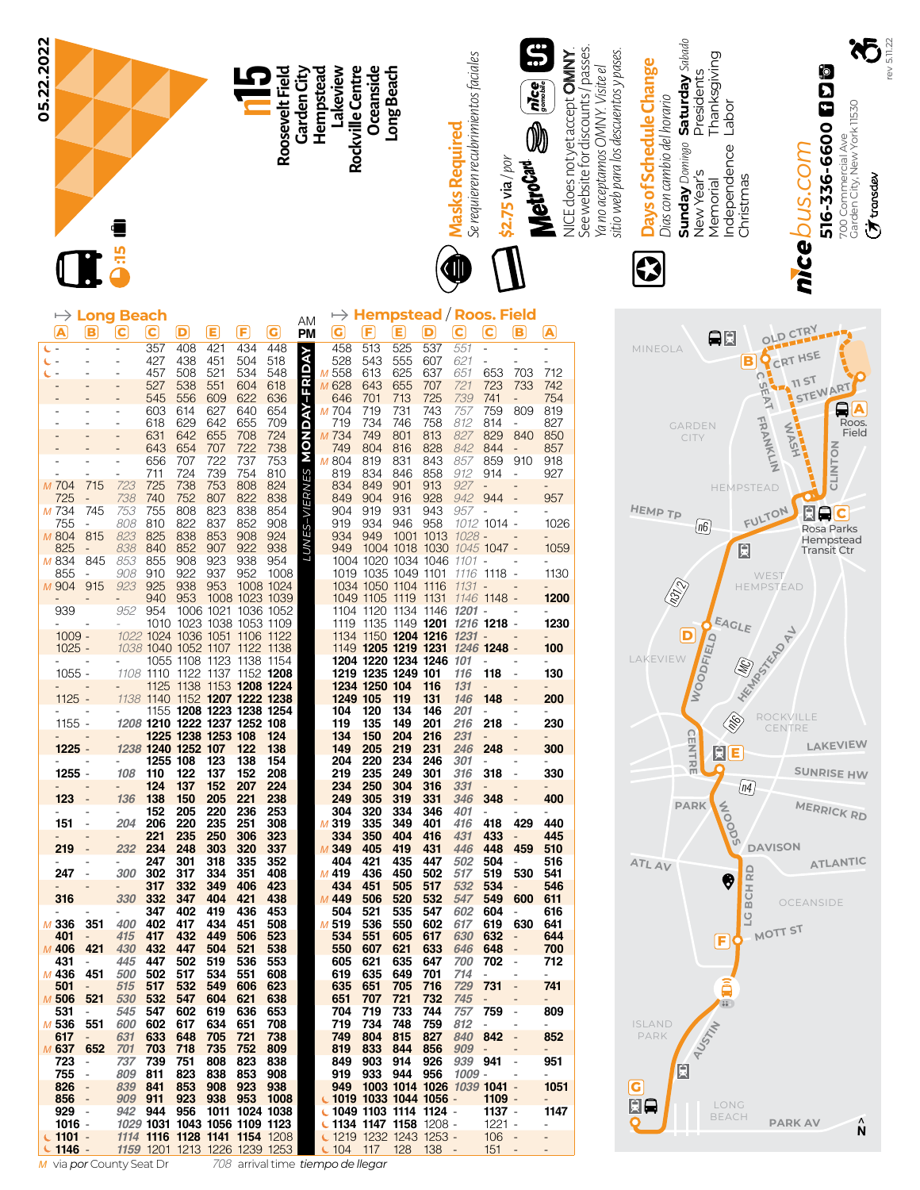